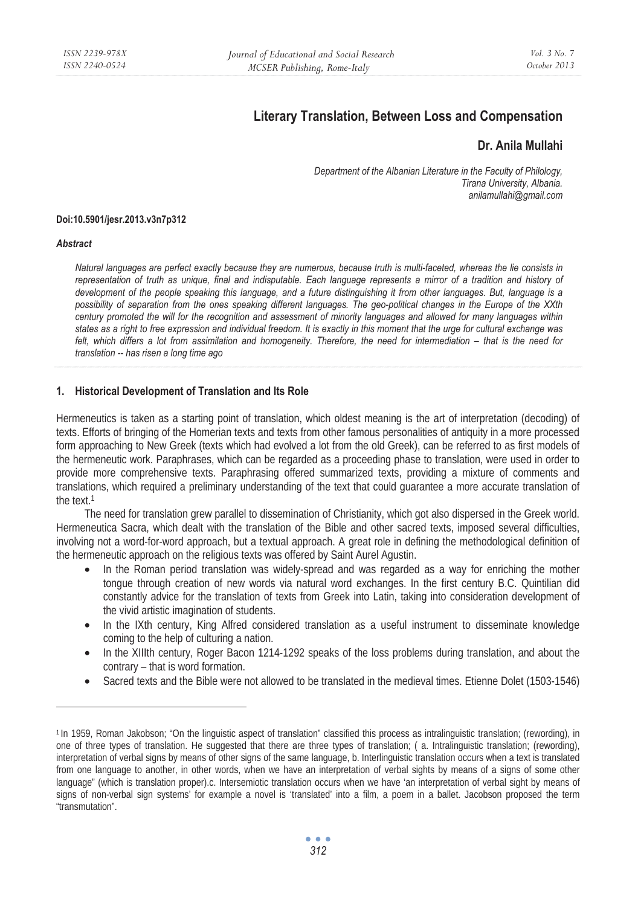# **Literary Translation, Between Loss and Compensation**

# **Dr. Anila Mullahi**

*Department of the Albanian Literature in the Faculty of Philology, Tirana University, Albania. anilamullahi@gmail.com* 

#### **Doi:10.5901/jesr.2013.v3n7p312**

#### *Abstract*

*Natural languages are perfect exactly because they are numerous, because truth is multi-faceted, whereas the lie consists in*  representation of truth as unique, final and indisputable. Each language represents a mirror of a tradition and history of *development of the people speaking this language, and a future distinguishing it from other languages. But, language is a possibility of separation from the ones speaking different languages. The geo-political changes in the Europe of the XXth century promoted the will for the recognition and assessment of minority languages and allowed for many languages within states as a right to free expression and individual freedom. It is exactly in this moment that the urge for cultural exchange was*  felt, which differs a lot from assimilation and homogeneity. Therefore, the need for intermediation – that is the need for *translation -- has risen a long time ago* 

### **1. Historical Development of Translation and Its Role**

Hermeneutics is taken as a starting point of translation, which oldest meaning is the art of interpretation (decoding) of texts. Efforts of bringing of the Homerian texts and texts from other famous personalities of antiquity in a more processed form approaching to New Greek (texts which had evolved a lot from the old Greek), can be referred to as first models of the hermeneutic work. Paraphrases, which can be regarded as a proceeding phase to translation, were used in order to provide more comprehensive texts. Paraphrasing offered summarized texts, providing a mixture of comments and translations, which required a preliminary understanding of the text that could guarantee a more accurate translation of the text.1

The need for translation grew parallel to dissemination of Christianity, which got also dispersed in the Greek world. Hermeneutica Sacra, which dealt with the translation of the Bible and other sacred texts, imposed several difficulties, involving not a word-for-word approach, but a textual approach. A great role in defining the methodological definition of the hermeneutic approach on the religious texts was offered by Saint Aurel Agustin.

- In the Roman period translation was widely-spread and was regarded as a way for enriching the mother tongue through creation of new words via natural word exchanges. In the first century B.C. Quintilian did constantly advice for the translation of texts from Greek into Latin, taking into consideration development of the vivid artistic imagination of students.
- In the IXth century, King Alfred considered translation as a useful instrument to disseminate knowledge coming to the help of culturing a nation.
- In the XIIIth century, Roger Bacon 1214-1292 speaks of the loss problems during translation, and about the contrary – that is word formation.
- Sacred texts and the Bible were not allowed to be translated in the medieval times. Etienne Dolet (1503-1546)

<sup>1</sup> In 1959, Roman Jakobson; "On the linguistic aspect of translation" classified this process as intralinguistic translation; (rewording), in one of three types of translation. He suggested that there are three types of translation; ( a. Intralinguistic translation; (rewording), interpretation of verbal signs by means of other signs of the same language, b. Interlinguistic translation occurs when a text is translated from one language to another, in other words, when we have an interpretation of verbal sights by means of a signs of some other language" (which is translation proper).c. Intersemiotic translation occurs when we have 'an interpretation of verbal sight by means of signs of non-verbal sign systems' for example a novel is 'translated' into a film, a poem in a ballet. Jacobson proposed the term "transmutation".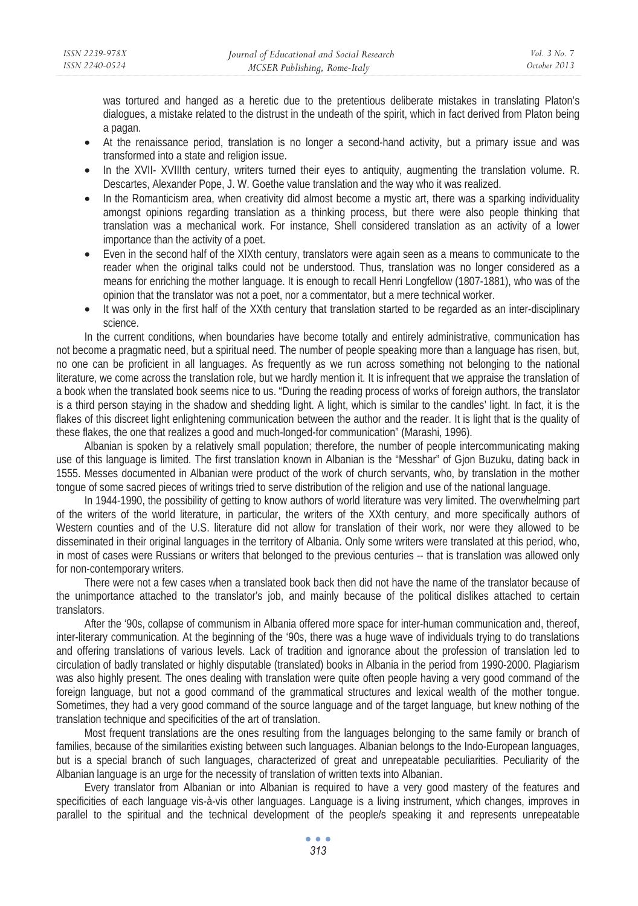was tortured and hanged as a heretic due to the pretentious deliberate mistakes in translating Platon's dialogues, a mistake related to the distrust in the undeath of the spirit, which in fact derived from Platon being a pagan.

- At the renaissance period, translation is no longer a second-hand activity, but a primary issue and was transformed into a state and religion issue.
- In the XVII- XVIIIth century, writers turned their eyes to antiquity, augmenting the translation volume. R. Descartes, Alexander Pope, J. W. Goethe value translation and the way who it was realized.
- In the Romanticism area, when creativity did almost become a mystic art, there was a sparking individuality amongst opinions regarding translation as a thinking process, but there were also people thinking that translation was a mechanical work. For instance, Shell considered translation as an activity of a lower importance than the activity of a poet.
- Even in the second half of the XIXth century, translators were again seen as a means to communicate to the reader when the original talks could not be understood. Thus, translation was no longer considered as a means for enriching the mother language. It is enough to recall Henri Longfellow (1807-1881), who was of the opinion that the translator was not a poet, nor a commentator, but a mere technical worker.
- It was only in the first half of the XXth century that translation started to be regarded as an inter-disciplinary science.

In the current conditions, when boundaries have become totally and entirely administrative, communication has not become a pragmatic need, but a spiritual need. The number of people speaking more than a language has risen, but, no one can be proficient in all languages. As frequently as we run across something not belonging to the national literature, we come across the translation role, but we hardly mention it. It is infrequent that we appraise the translation of a book when the translated book seems nice to us. "During the reading process of works of foreign authors, the translator is a third person staying in the shadow and shedding light. A light, which is similar to the candles' light. In fact, it is the flakes of this discreet light enlightening communication between the author and the reader. It is light that is the quality of these flakes, the one that realizes a good and much-longed-for communication" (Marashi, 1996).

Albanian is spoken by a relatively small population; therefore, the number of people intercommunicating making use of this language is limited. The first translation known in Albanian is the "Messhar" of Gjon Buzuku, dating back in 1555. Messes documented in Albanian were product of the work of church servants, who, by translation in the mother tongue of some sacred pieces of writings tried to serve distribution of the religion and use of the national language.

In 1944-1990, the possibility of getting to know authors of world literature was very limited. The overwhelming part of the writers of the world literature, in particular, the writers of the XXth century, and more specifically authors of Western counties and of the U.S. literature did not allow for translation of their work, nor were they allowed to be disseminated in their original languages in the territory of Albania. Only some writers were translated at this period, who, in most of cases were Russians or writers that belonged to the previous centuries -- that is translation was allowed only for non-contemporary writers.

There were not a few cases when a translated book back then did not have the name of the translator because of the unimportance attached to the translator's job, and mainly because of the political dislikes attached to certain translators.

After the '90s, collapse of communism in Albania offered more space for inter-human communication and, thereof, inter-literary communication. At the beginning of the '90s, there was a huge wave of individuals trying to do translations and offering translations of various levels. Lack of tradition and ignorance about the profession of translation led to circulation of badly translated or highly disputable (translated) books in Albania in the period from 1990-2000. Plagiarism was also highly present. The ones dealing with translation were quite often people having a very good command of the foreign language, but not a good command of the grammatical structures and lexical wealth of the mother tongue. Sometimes, they had a very good command of the source language and of the target language, but knew nothing of the translation technique and specificities of the art of translation.

Most frequent translations are the ones resulting from the languages belonging to the same family or branch of families, because of the similarities existing between such languages. Albanian belongs to the Indo-European languages, but is a special branch of such languages, characterized of great and unrepeatable peculiarities. Peculiarity of the Albanian language is an urge for the necessity of translation of written texts into Albanian.

Every translator from Albanian or into Albanian is required to have a very good mastery of the features and specificities of each language vis-à-vis other languages. Language is a living instrument, which changes, improves in parallel to the spiritual and the technical development of the people/s speaking it and represents unrepeatable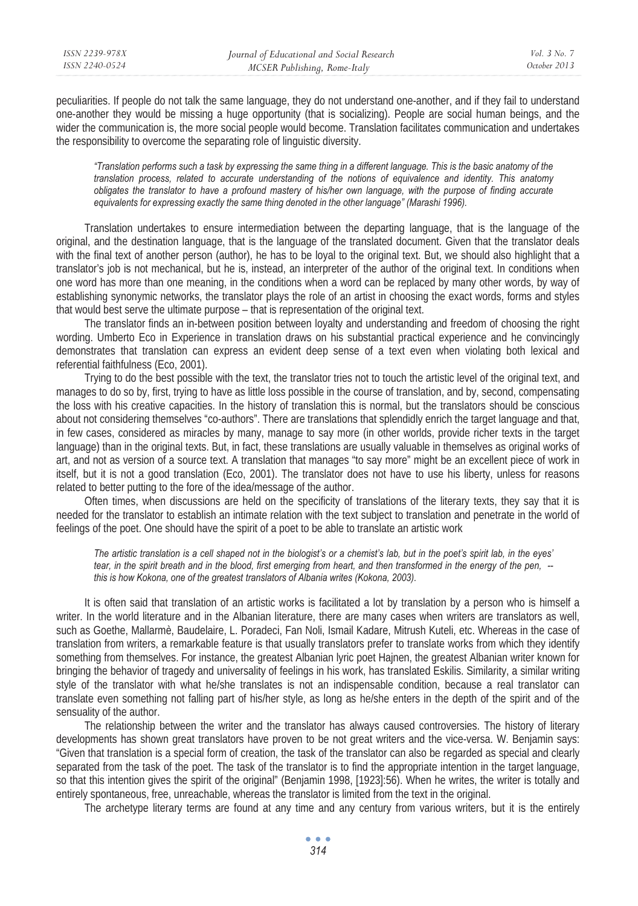peculiarities. If people do not talk the same language, they do not understand one-another, and if they fail to understand one-another they would be missing a huge opportunity (that is socializing). People are social human beings, and the wider the communication is, the more social people would become. Translation facilitates communication and undertakes the responsibility to overcome the separating role of linguistic diversity.

*"Translation performs such a task by expressing the same thing in a different language. This is the basic anatomy of the translation process, related to accurate understanding of the notions of equivalence and identity. This anatomy obligates the translator to have a profound mastery of his/her own language, with the purpose of finding accurate equivalents for expressing exactly the same thing denoted in the other language" (Marashi 1996).* 

Translation undertakes to ensure intermediation between the departing language, that is the language of the original, and the destination language, that is the language of the translated document. Given that the translator deals with the final text of another person (author), he has to be loyal to the original text. But, we should also highlight that a translator's job is not mechanical, but he is, instead, an interpreter of the author of the original text. In conditions when one word has more than one meaning, in the conditions when a word can be replaced by many other words, by way of establishing synonymic networks, the translator plays the role of an artist in choosing the exact words, forms and styles that would best serve the ultimate purpose – that is representation of the original text.

The translator finds an in-between position between loyalty and understanding and freedom of choosing the right wording. Umberto Eco in Experience in translation draws on his substantial practical experience and he convincingly demonstrates that translation can express an evident deep sense of a text even when violating both lexical and referential faithfulness (Eco, 2001).

Trying to do the best possible with the text, the translator tries not to touch the artistic level of the original text, and manages to do so by, first, trying to have as little loss possible in the course of translation, and by, second, compensating the loss with his creative capacities. In the history of translation this is normal, but the translators should be conscious about not considering themselves "co-authors". There are translations that splendidly enrich the target language and that, in few cases, considered as miracles by many, manage to say more (in other worlds, provide richer texts in the target language) than in the original texts. But, in fact, these translations are usually valuable in themselves as original works of art, and not as version of a source text. A translation that manages "to say more" might be an excellent piece of work in itself, but it is not a good translation (Eco, 2001). The translator does not have to use his liberty, unless for reasons related to better putting to the fore of the idea/message of the author.

Often times, when discussions are held on the specificity of translations of the literary texts, they say that it is needed for the translator to establish an intimate relation with the text subject to translation and penetrate in the world of feelings of the poet. One should have the spirit of a poet to be able to translate an artistic work

*The artistic translation is a cell shaped not in the biologist's or a chemist's lab, but in the poet's spirit lab, in the eyes' tear, in the spirit breath and in the blood, first emerging from heart, and then transformed in the energy of the pen, - this is how Kokona, one of the greatest translators of Albania writes (Kokona, 2003).* 

It is often said that translation of an artistic works is facilitated a lot by translation by a person who is himself a writer. In the world literature and in the Albanian literature, there are many cases when writers are translators as well, such as Goethe, Mallarmè, Baudelaire, L. Poradeci, Fan Noli, Ismail Kadare, Mitrush Kuteli, etc. Whereas in the case of translation from writers, a remarkable feature is that usually translators prefer to translate works from which they identify something from themselves. For instance, the greatest Albanian lyric poet Hajnen, the greatest Albanian writer known for bringing the behavior of tragedy and universality of feelings in his work, has translated Eskilis. Similarity, a similar writing style of the translator with what he/she translates is not an indispensable condition, because a real translator can translate even something not falling part of his/her style, as long as he/she enters in the depth of the spirit and of the sensuality of the author.

The relationship between the writer and the translator has always caused controversies. The history of literary developments has shown great translators have proven to be not great writers and the vice-versa. W. Benjamin says: "Given that translation is a special form of creation, the task of the translator can also be regarded as special and clearly separated from the task of the poet. The task of the translator is to find the appropriate intention in the target language, so that this intention gives the spirit of the original" (Benjamin 1998, [1923]:56). When he writes, the writer is totally and entirely spontaneous, free, unreachable, whereas the translator is limited from the text in the original.

The archetype literary terms are found at any time and any century from various writers, but it is the entirely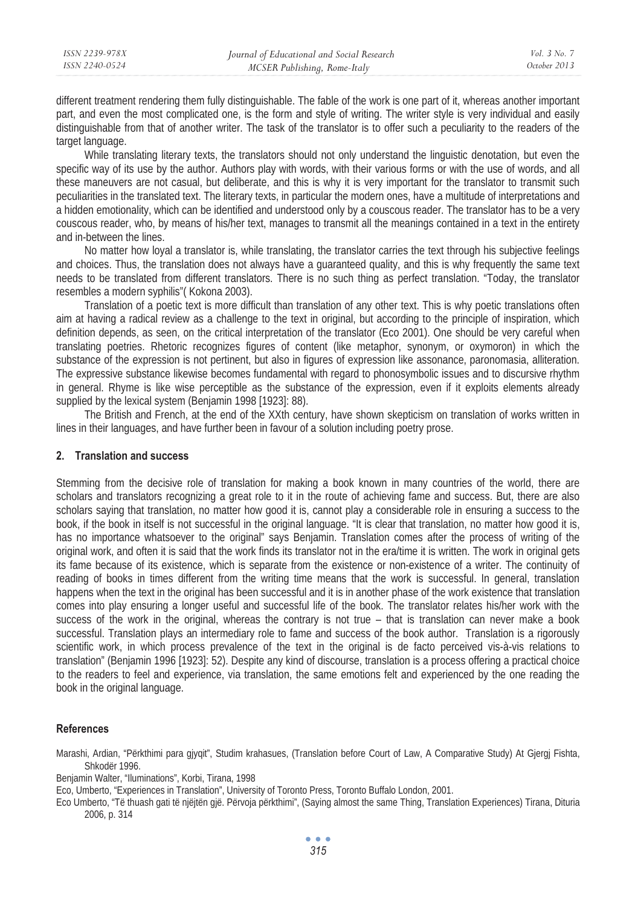different treatment rendering them fully distinguishable. The fable of the work is one part of it, whereas another important part, and even the most complicated one, is the form and style of writing. The writer style is very individual and easily distinguishable from that of another writer. The task of the translator is to offer such a peculiarity to the readers of the target language.

While translating literary texts, the translators should not only understand the linguistic denotation, but even the specific way of its use by the author. Authors play with words, with their various forms or with the use of words, and all these maneuvers are not casual, but deliberate, and this is why it is very important for the translator to transmit such peculiarities in the translated text. The literary texts, in particular the modern ones, have a multitude of interpretations and a hidden emotionality, which can be identified and understood only by a couscous reader. The translator has to be a very couscous reader, who, by means of his/her text, manages to transmit all the meanings contained in a text in the entirety and in-between the lines.

No matter how loyal a translator is, while translating, the translator carries the text through his subjective feelings and choices. Thus, the translation does not always have a guaranteed quality, and this is why frequently the same text needs to be translated from different translators. There is no such thing as perfect translation. "Today, the translator resembles a modern syphilis"( Kokona 2003).

Translation of a poetic text is more difficult than translation of any other text. This is why poetic translations often aim at having a radical review as a challenge to the text in original, but according to the principle of inspiration, which definition depends, as seen, on the critical interpretation of the translator (Eco 2001). One should be very careful when translating poetries. Rhetoric recognizes figures of content (like metaphor, synonym, or oxymoron) in which the substance of the expression is not pertinent, but also in figures of expression like assonance, paronomasia, alliteration. The expressive substance likewise becomes fundamental with regard to phonosymbolic issues and to discursive rhythm in general. Rhyme is like wise perceptible as the substance of the expression, even if it exploits elements already supplied by the lexical system (Benjamin 1998 [1923]: 88).

The British and French, at the end of the XXth century, have shown skepticism on translation of works written in lines in their languages, and have further been in favour of a solution including poetry prose.

# **2. Translation and success**

Stemming from the decisive role of translation for making a book known in many countries of the world, there are scholars and translators recognizing a great role to it in the route of achieving fame and success. But, there are also scholars saying that translation, no matter how good it is, cannot play a considerable role in ensuring a success to the book, if the book in itself is not successful in the original language. "It is clear that translation, no matter how good it is, has no importance whatsoever to the original" says Benjamin. Translation comes after the process of writing of the original work, and often it is said that the work finds its translator not in the era/time it is written. The work in original gets its fame because of its existence, which is separate from the existence or non-existence of a writer. The continuity of reading of books in times different from the writing time means that the work is successful. In general, translation happens when the text in the original has been successful and it is in another phase of the work existence that translation comes into play ensuring a longer useful and successful life of the book. The translator relates his/her work with the success of the work in the original, whereas the contrary is not true – that is translation can never make a book successful. Translation plays an intermediary role to fame and success of the book author. Translation is a rigorously scientific work, in which process prevalence of the text in the original is de facto perceived vis-à-vis relations to translation" (Benjamin 1996 [1923]: 52). Despite any kind of discourse, translation is a process offering a practical choice to the readers to feel and experience, via translation, the same emotions felt and experienced by the one reading the book in the original language.

## **References**

Marashi, Ardian, "Përkthimi para gjyqit", Studim krahasues, (Translation before Court of Law, A Comparative Study) At Gjergj Fishta, Shkodër 1996.

Benjamin Walter, "Iluminations", Korbi, Tirana, 1998

Eco, Umberto, "Experiences in Translation", University of Toronto Press, Toronto Buffalo London, 2001.

Eco Umberto, "Të thuash gati të njëjtën gjë. Përvoja përkthimi", (Saying almost the same Thing, Translation Experiences) Tirana, Dituria 2006, p. 314